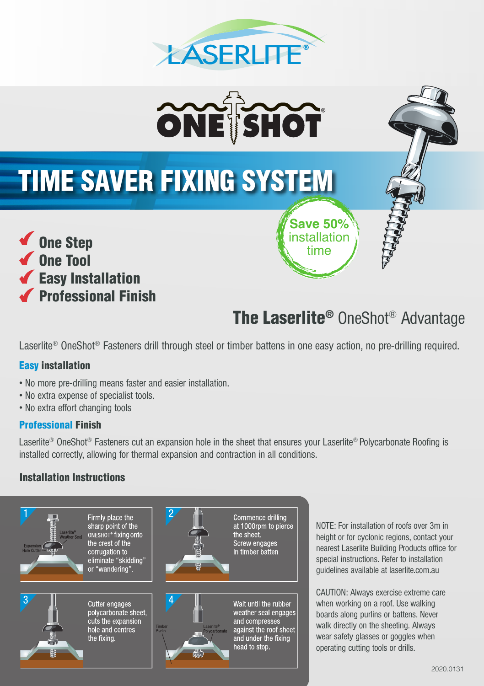



# TIME SAVER FIXING SYSTEM



**Save 50%**  installation time

# The Laserlite® OneShot® Advantage

Laserlite® OneShot® Fasteners drill through steel or timber battens in one easy action, no pre-drilling required.

### Easy installation

- No more pre-drilling means faster and easier installation.
- No extra expense of specialist tools.
- No extra effort changing tools

### Professional Finish

Laserlite<sup>®</sup> OneShot<sup>®</sup> Fasteners cut an expansion hole in the sheet that ensures your Laserlite® Polycarbonate Roofing is installed correctly, allowing for thermal expansion and contraction in all conditions.

### Installation Instructions



NOTE: For installation of roofs over 3m in height or for cyclonic regions, contact your nearest Laserlite Building Products office for special instructions. Refer to installation guidelines available at laserlite.com.au

CAUTION: Always exercise extreme care when working on a roof. Use walking boards along purlins or battens. Never walk directly on the sheeting. Always wear safety glasses or goggles when operating cutting tools or drills.

#### 2020.0131